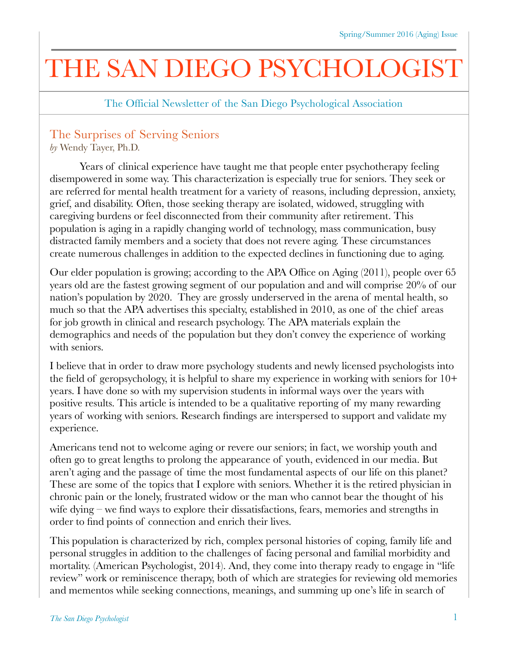## THE SAN DIEGO PSYCHOLOGI

The Official Newsletter of the San Diego Psychological Association

## The Surprises of Serving Seniors

*by* Wendy Tayer, Ph.D.

Years of clinical experience have taught me that people enter psychotherapy feeling disempowered in some way. This characterization is especially true for seniors. They seek or are referred for mental health treatment for a variety of reasons, including depression, anxiety, grief, and disability. Often, those seeking therapy are isolated, widowed, struggling with caregiving burdens or feel disconnected from their community after retirement. This population is aging in a rapidly changing world of technology, mass communication, busy distracted family members and a society that does not revere aging. These circumstances create numerous challenges in addition to the expected declines in functioning due to aging.

Our elder population is growing; according to the APA Office on Aging (2011), people over 65 years old are the fastest growing segment of our population and and will comprise 20% of our nation's population by 2020. They are grossly underserved in the arena of mental health, so much so that the APA advertises this specialty, established in 2010, as one of the chief areas for job growth in clinical and research psychology. The APA materials explain the demographics and needs of the population but they don't convey the experience of working with seniors.

I believe that in order to draw more psychology students and newly licensed psychologists into the field of geropsychology, it is helpful to share my experience in working with seniors for 10+ years. I have done so with my supervision students in informal ways over the years with positive results. This article is intended to be a qualitative reporting of my many rewarding years of working with seniors. Research findings are interspersed to support and validate my experience.

Americans tend not to welcome aging or revere our seniors; in fact, we worship youth and often go to great lengths to prolong the appearance of youth, evidenced in our media. But aren't aging and the passage of time the most fundamental aspects of our life on this planet? These are some of the topics that I explore with seniors. Whether it is the retired physician in chronic pain or the lonely, frustrated widow or the man who cannot bear the thought of his wife dying – we find ways to explore their dissatisfactions, fears, memories and strengths in order to find points of connection and enrich their lives.

This population is characterized by rich, complex personal histories of coping, family life and personal struggles in addition to the challenges of facing personal and familial morbidity and mortality. (American Psychologist, 2014). And, they come into therapy ready to engage in "life review" work or reminiscence therapy, both of which are strategies for reviewing old memories and mementos while seeking connections, meanings, and summing up one's life in search of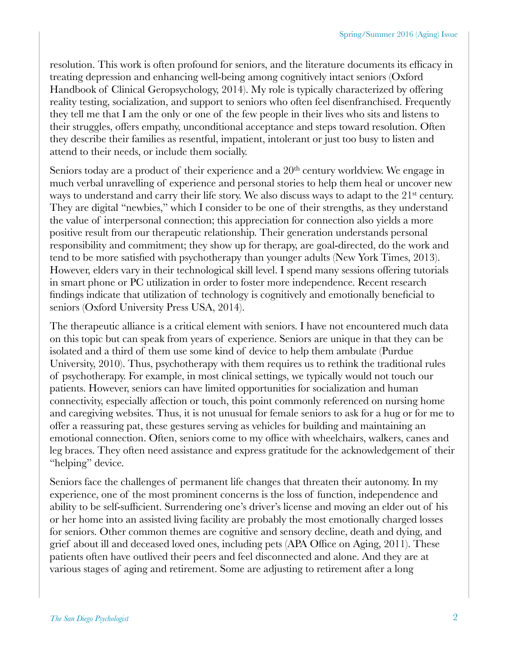resolution. This work is often profound for seniors, and the literature documents its efficacy in treating depression and enhancing well-being among cognitively intact seniors (Oxford Handbook of Clinical Geropsychology, 2014). My role is typically characterized by offering reality testing, socialization, and support to seniors who often feel disenfranchised. Frequently they tell me that I am the only or one of the few people in their lives who sits and listens to their struggles, offers empathy, unconditional acceptance and steps toward resolution. Often they describe their families as resentful, impatient, intolerant or just too busy to listen and attend to their needs, or include them socially.

Seniors today are a product of their experience and a 20<sup>th</sup> century worldview. We engage in much verbal unravelling of experience and personal stories to help them heal or uncover new ways to understand and carry their life story. We also discuss ways to adapt to the 21<sup>st</sup> century. They are digital "newbies," which I consider to be one of their strengths, as they understand the value of interpersonal connection; this appreciation for connection also yields a more positive result from our therapeutic relationship. Their generation understands personal responsibility and commitment; they show up for therapy, are goal-directed, do the work and tend to be more satisfied with psychotherapy than younger adults (New York Times, 2013). However, elders vary in their technological skill level. I spend many sessions offering tutorials in smart phone or PC utilization in order to foster more independence. Recent research findings indicate that utilization of technology is cognitively and emotionally beneficial to seniors (Oxford University Press USA, 2014).

The therapeutic alliance is a critical element with seniors. I have not encountered much data on this topic but can speak from years of experience. Seniors are unique in that they can be isolated and a third of them use some kind of device to help them ambulate (Purdue University, 2010). Thus, psychotherapy with them requires us to rethink the traditional rules of psychotherapy. For example, in most clinical settings, we typically would not touch our patients. However, seniors can have limited opportunities for socialization and human connectivity, especially affection or touch, this point commonly referenced on nursing home and caregiving websites. Thus, it is not unusual for female seniors to ask for a hug or for me to offer a reassuring pat, these gestures serving as vehicles for building and maintaining an emotional connection. Often, seniors come to my office with wheelchairs, walkers, canes and leg braces. They often need assistance and express gratitude for the acknowledgement of their "helping" device.

Seniors face the challenges of permanent life changes that threaten their autonomy. In my experience, one of the most prominent concerns is the loss of function, independence and ability to be self-sufficient. Surrendering one's driver's license and moving an elder out of his or her home into an assisted living facility are probably the most emotionally charged losses for seniors. Other common themes are cognitive and sensory decline, death and dying, and grief about ill and deceased loved ones, including pets (APA Office on Aging, 2011). These patients often have outlived their peers and feel disconnected and alone. And they are at various stages of aging and retirement. Some are adjusting to retirement after a long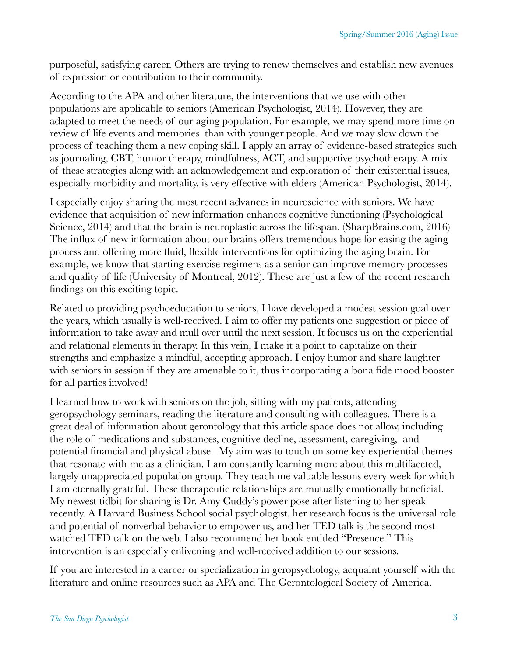purposeful, satisfying career. Others are trying to renew themselves and establish new avenues of expression or contribution to their community.

According to the APA and other literature, the interventions that we use with other populations are applicable to seniors (American Psychologist, 2014). However, they are adapted to meet the needs of our aging population. For example, we may spend more time on review of life events and memories than with younger people. And we may slow down the process of teaching them a new coping skill. I apply an array of evidence-based strategies such as journaling, CBT, humor therapy, mindfulness, ACT, and supportive psychotherapy. A mix of these strategies along with an acknowledgement and exploration of their existential issues, especially morbidity and mortality, is very effective with elders (American Psychologist, 2014).

I especially enjoy sharing the most recent advances in neuroscience with seniors. We have evidence that acquisition of new information enhances cognitive functioning (Psychological Science, 2014) and that the brain is neuroplastic across the lifespan. (SharpBrains.com, 2016) The influx of new information about our brains offers tremendous hope for easing the aging process and offering more fluid, flexible interventions for optimizing the aging brain. For example, we know that starting exercise regimens as a senior can improve memory processes and quality of life (University of Montreal, 2012). These are just a few of the recent research findings on this exciting topic.

Related to providing psychoeducation to seniors, I have developed a modest session goal over the years, which usually is well-received. I aim to offer my patients one suggestion or piece of information to take away and mull over until the next session. It focuses us on the experiential and relational elements in therapy. In this vein, I make it a point to capitalize on their strengths and emphasize a mindful, accepting approach. I enjoy humor and share laughter with seniors in session if they are amenable to it, thus incorporating a bona fide mood booster for all parties involved!

I learned how to work with seniors on the job, sitting with my patients, attending geropsychology seminars, reading the literature and consulting with colleagues. There is a great deal of information about gerontology that this article space does not allow, including the role of medications and substances, cognitive decline, assessment, caregiving, and potential financial and physical abuse. My aim was to touch on some key experiential themes that resonate with me as a clinician. I am constantly learning more about this multifaceted, largely unappreciated population group. They teach me valuable lessons every week for which I am eternally grateful. These therapeutic relationships are mutually emotionally beneficial. My newest tidbit for sharing is Dr. Amy Cuddy's power pose after listening to her speak recently. A Harvard Business School social psychologist, her research focus is the universal role and potential of nonverbal behavior to empower us, and her TED talk is the second most watched TED talk on the web. I also recommend her book entitled "Presence." This intervention is an especially enlivening and well-received addition to our sessions.

If you are interested in a career or specialization in geropsychology, acquaint yourself with the literature and online resources such as APA and The Gerontological Society of America.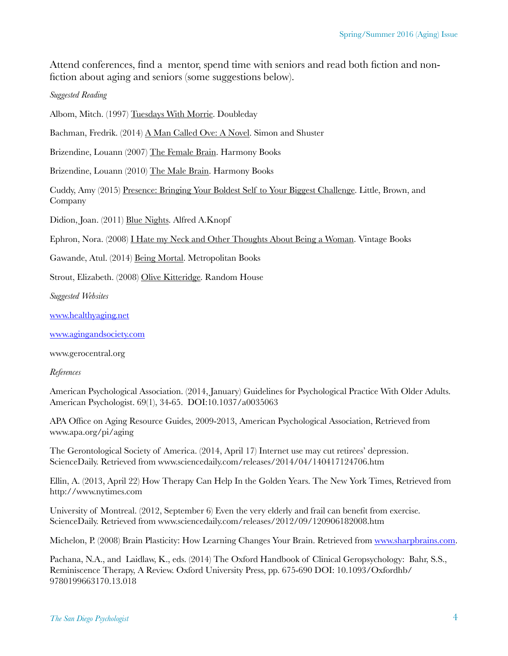Attend conferences, find a mentor, spend time with seniors and read both fiction and nonfiction about aging and seniors (some suggestions below).

## *Suggested Reading*

Albom, Mitch. (1997) Tuesdays With Morrie. Doubleday

Bachman, Fredrik. (2014) A Man Called Ove: A Novel. Simon and Shuster

Brizendine, Louann (2007) The Female Brain. Harmony Books

Brizendine, Louann (2010) The Male Brain. Harmony Books

Cuddy, Amy (2015) Presence: Bringing Your Boldest Self to Your Biggest Challenge. Little, Brown, and Company

Didion, Joan. (2011) Blue Nights. Alfred A.Knopf

Ephron, Nora. (2008) I Hate my Neck and Other Thoughts About Being a Woman. Vintage Books

Gawande, Atul. (2014) Being Mortal. Metropolitan Books

Strout, Elizabeth. (2008) Olive Kitteridge. Random House

*Suggested Websites* 

[www.healthyaging.net](http://www.healthyaging.net)

[www.agingandsociety.com](http://www.agingandsociety.com)

www.gerocentral.org

*References*

American Psychological Association. (2014, January) Guidelines for Psychological Practice With Older Adults. American Psychologist. 69(1), 34-65. DOI:10.1037/a0035063

APA Office on Aging Resource Guides, 2009-2013, American Psychological Association, Retrieved from www.apa.org/pi/aging

The Gerontological Society of America. (2014, April 17) Internet use may cut retirees' depression. ScienceDaily. Retrieved from www.sciencedaily.com/releases/2014/04/140417124706.htm

Ellin, A. (2013, April 22) How Therapy Can Help In the Golden Years. The New York Times, Retrieved from http://www.nytimes.com

University of Montreal. (2012, September 6) Even the very elderly and frail can benefit from exercise. ScienceDaily. Retrieved from www.sciencedaily.com/releases/2012/09/120906182008.htm

Michelon, P. (2008) Brain Plasticity: How Learning Changes Your Brain. Retrieved from [www.sharpbrains.com.](http://www.sharpbrains.com)

Pachana, N.A., and Laidlaw, K., eds. (2014) The Oxford Handbook of Clinical Geropsychology: Bahr, S.S., Reminiscence Therapy, A Review. Oxford University Press, pp. 675-690 DOI: 10.1093/Oxfordhb/ 9780199663170.13.018